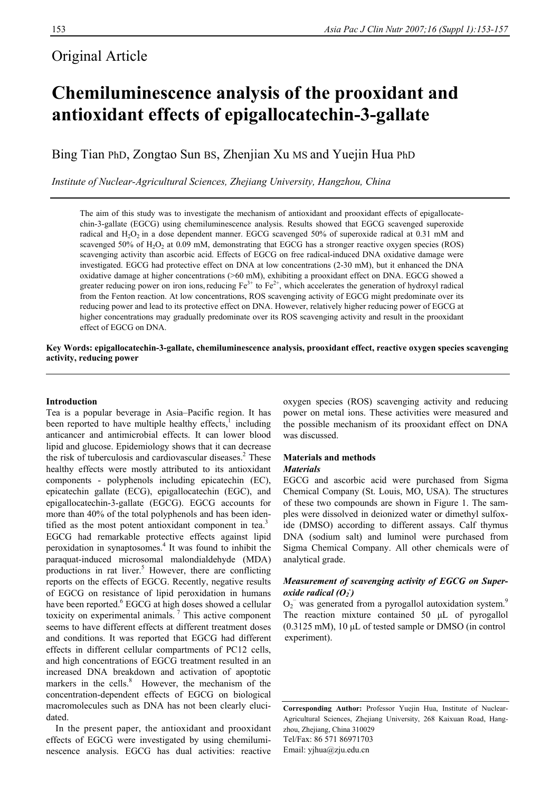# Original Article

# **Chemiluminescence analysis of the prooxidant and antioxidant effects of epigallocatechin-3-gallate**

Bing Tian PhD, Zongtao Sun BS, Zhenjian Xu MS and Yuejin Hua PhD

*Institute of Nuclear-Agricultural Sciences, Zhejiang University, Hangzhou, China* 

The aim of this study was to investigate the mechanism of antioxidant and prooxidant effects of epigallocatechin-3-gallate (EGCG) using chemiluminescence analysis. Results showed that EGCG scavenged superoxide radical and  $H_2O_2$  in a dose dependent manner. EGCG scavenged 50% of superoxide radical at 0.31 mM and scavenged 50% of  $H_2O_2$  at 0.09 mM, demonstrating that EGCG has a stronger reactive oxygen species (ROS) scavenging activity than ascorbic acid. Effects of EGCG on free radical-induced DNA oxidative damage were investigated. EGCG had protective effect on DNA at low concentrations (2-30 mM), but it enhanced the DNA oxidative damage at higher concentrations (>60 mM), exhibiting a prooxidant effect on DNA. EGCG showed a greater reducing power on iron ions, reducing  $Fe^{3+}$  to  $Fe^{2+}$ , which accelerates the generation of hydroxyl radical from the Fenton reaction. At low concentrations, ROS scavenging activity of EGCG might predominate over its reducing power and lead to its protective effect on DNA. However, relatively higher reducing power of EGCG at higher concentrations may gradually predominate over its ROS scavenging activity and result in the prooxidant effect of EGCG on DNA.

**Key Words: epigallocatechin-3-gallate, chemiluminescence analysis, prooxidant effect, reactive oxygen species scavenging activity, reducing power** 

### **Introduction**

Tea is a popular beverage in Asia–Pacific region. It has been reported to have multiple healthy effects, $\frac{1}{1}$  including anticancer and antimicrobial effects. It can lower blood lipid and glucose. Epidemiology shows that it can decrease the risk of tuberculosis and cardiovascular diseases.<sup>2</sup> These healthy effects were mostly attributed to its antioxidant components - polyphenols including epicatechin (EC), epicatechin gallate (ECG), epigallocatechin (EGC), and epigallocatechin-3-gallate (EGCG). EGCG accounts for more than 40% of the total polyphenols and has been identified as the most potent antioxidant component in tea.<sup>3</sup> EGCG had remarkable protective effects against lipid peroxidation in synaptosomes.4 It was found to inhibit the paraquat-induced microsomal malondialdehyde (MDA) productions in rat liver.<sup>5</sup> However, there are conflicting reports on the effects of EGCG. Recently, negative results of EGCG on resistance of lipid peroxidation in humans have been reported.<sup>6</sup> EGCG at high doses showed a cellular toxicity on experimental animals. 7 This active component seems to have different effects at different treatment doses and conditions. It was reported that EGCG had different effects in different cellular compartments of PC12 cells, and high concentrations of EGCG treatment resulted in an increased DNA breakdown and activation of apoptotic markers in the cells.<sup>8</sup> However, the mechanism of the concentration-dependent effects of EGCG on biological macromolecules such as DNA has not been clearly elucidated.

In the present paper, the antioxidant and prooxidant effects of EGCG were investigated by using chemiluminescence analysis. EGCG has dual activities: reactive oxygen species (ROS) scavenging activity and reducing power on metal ions. These activities were measured and the possible mechanism of its prooxidant effect on DNA was discussed.

### **Materials and methods**

### *Materials*

EGCG and ascorbic acid were purchased from Sigma Chemical Company (St. Louis, MO, USA). The structures of these two compounds are shown in Figure 1. The samples were dissolved in deionized water or dimethyl sulfoxide (DMSO) according to different assays. Calf thymus DNA (sodium salt) and luminol were purchased from Sigma Chemical Company. All other chemicals were of analytical grade.

### *Measurement of scavenging activity of EGCG on Superoxide radical* ( $O_2$ )

 $O_2$ <sup>-</sup> was generated from a pyrogallol autoxidation system.<sup>9</sup> The reaction mixture contained 50 μL of pyrogallol (0.3125 mM), 10 μL of tested sample or DMSO (in control experiment).

**Corresponding Author:** Professor Yuejin Hua, Institute of Nuclear-Agricultural Sciences, Zhejiang University, 268 Kaixuan Road, Hangzhou, Zhejiang, China 310029 Tel/Fax: 86 571 86971703 Email: [yjhua@zju.edu.cn](mailto:yjhua@zju.edu.cn)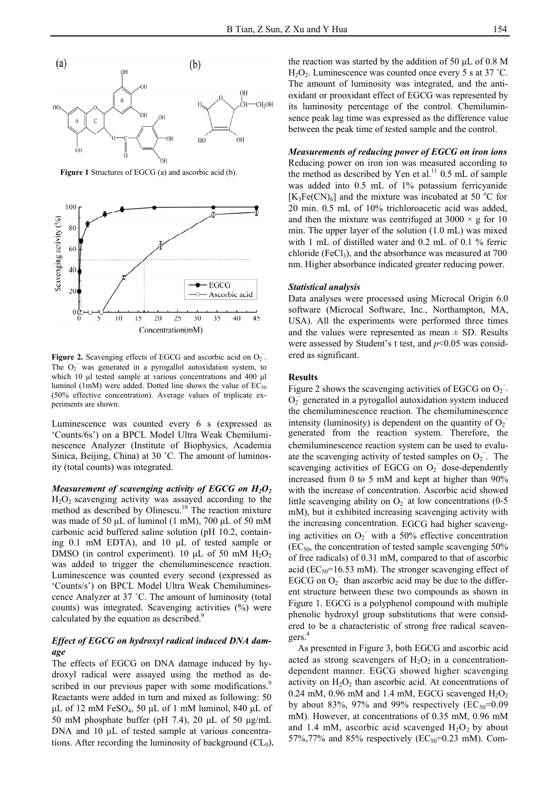

**Figure 1** Structures of EGCG (a) and ascorbic acid (b).



**Figure 2.** Scavenging effects of EGCG and ascorbic acid on  $O_2$ . ered as significant. The  $O_2$ <sup>-</sup> was generated in a pyrogallol autoxidation system, to which 10 μl tested sample at various concentrations and 400 μl luminol (1mM) were added. Dotted line shows the value of  $EC_{50}$ (50% effective concentration). Average values of triplicate experiments are shown.

Luminescence was counted every 6 s (expressed as 'Counts/6s') on a BPCL Model Ultra Weak Chemiluminescence Analyzer (Institute of Biophysics, Academia Sinica, Beijing, China) at 30 °C. The amount of luminosity (total counts) was integrated.

*Measurement of scavenging activity of EGCG on H<sub>2</sub>O<sub>2</sub>*  $H_2O_2$  scavenging activity was assayed according to the method as described by Olinescu.<sup>10</sup> The reaction mixture was made of 50 μL of luminol (1 mM), 700 μL of 50 mM carbonic acid buffered saline solution (pH 10.2, containing 0.1 mM EDTA), and 10 μL of tested sample or DMSO (in control experiment). 10  $\mu$ L of 50 mM H<sub>2</sub>O<sub>2</sub> was added to trigger the chemiluminescence reaction. Luminescence was counted every second (expressed as 'Counts/s') on BPCL Model Ultra Weak Chemiluminescence Analyzer at 37 ˚C. The amount of luminosity (total counts) was integrated. Scavenging activities (%) were calculated by the equation as described.<sup>9</sup>

### *Effect of EGCG on hydroxyl radical induced DNA damage*

The effects of EGCG on DNA damage induced by hydroxyl radical were assayed using the method as described in our previous paper with some modifications.<sup>9</sup> Reactants were added in turn and mixed as following: 50 μL of 12 mM FeSO<sub>4</sub>, 50 μL of 1 mM luminol, 840 μL of 50 mM phosphate buffer (pH 7.4), 20 μL of 50 μg/mL DNA and 10 μL of tested sample at various concentrations. After recording the luminosity of background  $(CL<sub>0</sub>)$ ,

the reaction was started by the addition of 50 μL of 0.8 M  $H_2O_2$ . Luminescence was counted once every 5 s at 37 °C. The amount of luminosity was integrated, and the antioxidant or prooxidant effect of EGCG was represented by its luminosity percentage of the control. Chemiluminsence peak lag time was expressed as the difference value between the peak time of tested sample and the control.

## *Measurements of reducing power of EGCG on iron ions*

Reducing power on iron ion was measured according to the method as described by Yen et al.<sup>11</sup> 0.5 mL of sample was added into 0.5 mL of 1% potassium ferricyanide  $[K_3Fe(CN)_6]$  and the mixture was incubated at 50 °C for 20 min. 0.5 mL of 10% trichloroacetic acid was added, and then the mixture was centrifuged at  $3000 \times g$  for 10 min. The upper layer of the solution (1.0 mL) was mixed with 1 mL of distilled water and 0.2 mL of 0.1 % ferric chloride (FeCl<sub>3</sub>), and the absorbance was measured at  $700$ nm. Higher absorbance indicated greater reducing power.

### *Statistical analysis*

Data analyses were processed using Microcal Origin 6.0 software (Microcal Software, Inc., Northampton, MA, USA). All the experiments were performed three times and the values were represented as mean  $\pm$  SD. Results were assessed by Student's t test, and  $p<0.05$  was consid-

### **Results**

Figure 2 shows the scavenging activities of EGCG on  $O_2^-$ .  $O_2$ <sup> $\overline{O_2}$ </sup> generated in a pyrogallol autoxidation system induced the chemiluminescence reaction. The chemiluminescence intensity (luminosity) is dependent on the quantity of  $O_2$ <sup>-</sup> generated from the reaction system. Therefore, the chemiluminescence reaction system can be used to evaluate the scavenging activity of tested samples on  $O_2$ <sup>-</sup>. The scavenging activities of EGCG on  $O_2^-$  dose-dependently increased from 0 to 5 mM and kept at higher than 90% with the increase of concentration. Ascorbic acid showed little scavenging ability on  $O_2^-$  at low concentrations (0-5 mM), but it exhibited increasing scavenging activity with the increasing concentration. EGCG had higher scavenging activities on  $O_2$ <sup>-</sup> with a 50% effective concentration  $(EC<sub>50</sub>$ , the concentration of tested sample scavenging 50% of free radicals) of 0.31 mM, compared to that of ascorbic acid ( $EC_{50}$ =16.53 mM). The stronger scavenging effect of EGCG on  $O_2$ <sup>-</sup> than ascorbic acid may be due to the different structure between these two compounds as shown in Figure 1. EGCG is a polyphenol compound with multiple phenolic hydroxyl group substitutions that were considered to be a characteristic of strong free radical scavengers.4

As presented in Figure 3, both EGCG and ascorbic acid acted as strong scavengers of  $H_2O_2$  in a concentrationdependent manner. EGCG showed higher scavenging activity on  $H_2O_2$  than ascorbic acid. At concentrations of 0.24 mM, 0.96 mM and 1.4 mM, EGCG scavenged  $H_2O_2$ by about 83%, 97% and 99% respectively  $(EC_{50}=0.09)$ mM). However, at concentrations of 0.35 mM, 0.96 mM and 1.4 mM, ascorbic acid scavenged  $H_2O_2$  by about 57%,77% and 85% respectively ( $EC_{50} = 0.23$  mM). Com-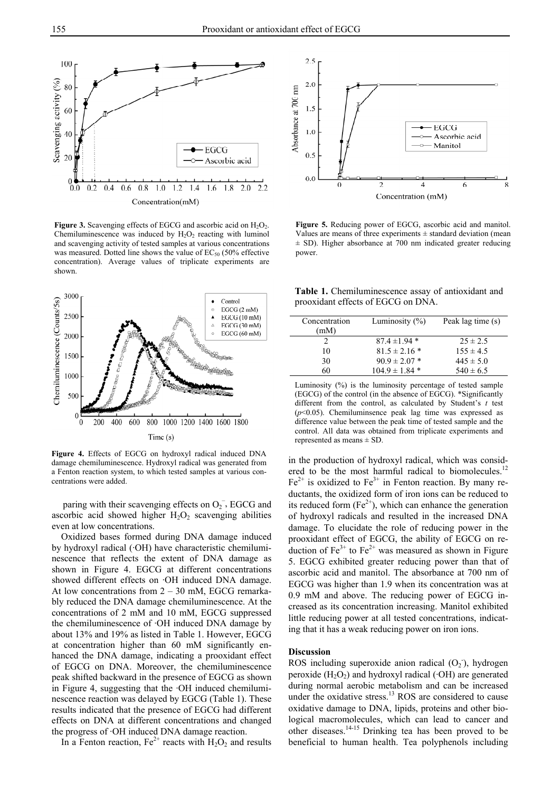

**Figure 3.** Scavenging effects of EGCG and ascorbic acid on H<sub>2</sub>O<sub>2</sub>. Chemiluminescence was induced by  $H_2O_2$  reacting with luminol and scavenging activity of tested samples at various concentrations was measured. Dotted line shows the value of  $EC_{50}$  (50% effective concentration). Average values of triplicate experiments are shown.



**Figure 4.** Effects of EGCG on hydroxyl radical induced DNA damage chemiluminescence. Hydroxyl radical was generated from a Fenton reaction system, to which tested samples at various concentrations were added.

paring with their scavenging effects on  $O_2$ , EGCG and ascorbic acid showed higher  $H_2O_2$  scavenging abilities even at low concentrations.

Oxidized bases formed during DNA damage induced by hydroxyl radical (·OH) have characteristic chemiluminescence that reflects the extent of DNA damage as shown in Figure 4. EGCG at different concentrations showed different effects on ·OH induced DNA damage. At low concentrations from 2 – 30 mM, EGCG remarkably reduced the DNA damage chemiluminescence. At the concentrations of 2 mM and 10 mM, EGCG suppressed the chemiluminescence of ·OH induced DNA damage by about 13% and 19% as listed in Table 1. However, EGCG at concentration higher than 60 mM significantly enhanced the DNA damage, indicating a prooxidant effect of EGCG on DNA. Moreover, the chemiluminescence peak shifted backward in the presence of EGCG as shown in Figure 4, suggesting that the ·OH induced chemiluminescence reaction was delayed by EGCG (Table 1). These results indicated that the presence of EGCG had different effects on DNA at different concentrations and changed the progress of ·OH induced DNA damage reaction.

In a Fenton reaction,  $Fe^{2+}$  reacts with  $H_2O_2$  and results



**Figure 5.** Reducing power of EGCG, ascorbic acid and manitol. Values are means of three experiments  $\pm$  standard deviation (mean  $\pm$  SD). Higher absorbance at 700 nm indicated greater reducing power.

**Table 1.** Chemiluminescence assay of antioxidant and prooxidant effects of EGCG on DNA.

| Concentration<br>(mM) | Luminosity $(\% )$ | Peak lag time (s) |
|-----------------------|--------------------|-------------------|
|                       | $87.4 \pm 1.94$ *  | $25 \pm 2.5$      |
| 10                    | $81.5 \pm 2.16*$   | $155 \pm 4.5$     |
| 30                    | $90.9 \pm 2.07$ *  | $445 \pm 5.0$     |
| 60                    | $104.9 \pm 1.84$ * | $540 \pm 6.5$     |

Luminosity (%) is the luminosity percentage of tested sample (EGCG) of the control (in the absence of EGCG). \*Significantly different from the control, as calculated by Student's *t* test (*p*<0.05). Chemiluminsence peak lag time was expressed as difference value between the peak time of tested sample and the control. All data was obtained from triplicate experiments and represented as means ± SD.

in the production of hydroxyl radical, which was considered to be the most harmful radical to biomolecules.<sup>12</sup>  $Fe<sup>2+</sup>$  is oxidized to  $Fe<sup>3+</sup>$  in Fenton reaction. By many reductants, the oxidized form of iron ions can be reduced to its reduced form  $(Fe^{2+})$ , which can enhance the generation of hydroxyl radicals and resulted in the increased DNA damage. To elucidate the role of reducing power in the prooxidant effect of EGCG, the ability of EGCG on reduction of  $Fe^{3+}$  to  $Fe^{2+}$  was measured as shown in Figure 5. EGCG exhibited greater reducing power than that of ascorbic acid and manitol. The absorbance at 700 nm of EGCG was higher than 1.9 when its concentration was at 0.9 mM and above. The reducing power of EGCG increased as its concentration increasing. Manitol exhibited little reducing power at all tested concentrations, indicating that it has a weak reducing power on iron ions.

### **Discussion**

ROS including superoxide anion radical  $(O_2)$ , hydrogen peroxide  $(H_2O_2)$  and hydroxyl radical ( $\cdot$ OH) are generated during normal aerobic metabolism and can be increased under the oxidative stress. $^{13}$  ROS are considered to cause oxidative damage to DNA, lipids, proteins and other biological macromolecules, which can lead to cancer and other diseases.14-15 Drinking tea has been proved to be beneficial to human health. Tea polyphenols including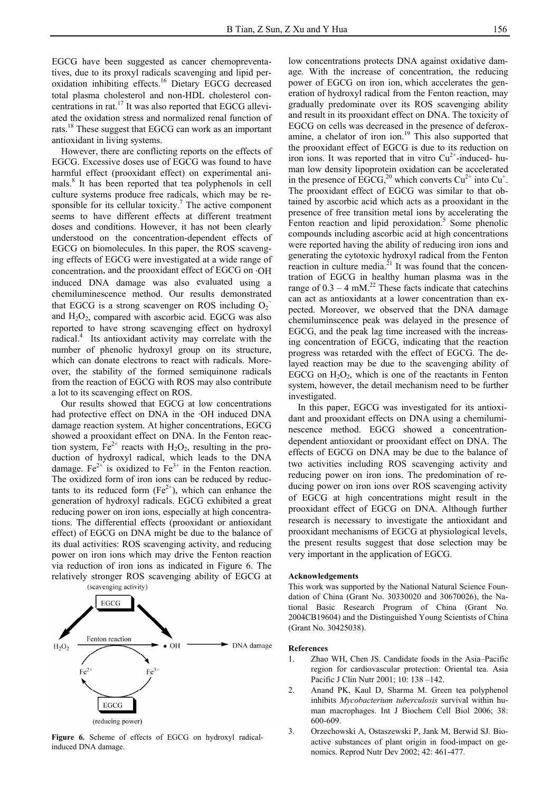EGCG have been suggested as cancer chemopreventatives, due to its proxyl radicals scavenging and lipid peroxidation inhibiting effects.16 Dietary EGCG decreased total plasma cholesterol and non-HDL cholesterol concentrations in rat.17 It was also reported that EGCG alleviated the oxidation stress and normalized renal function of rats.18 These suggest that EGCG can work as an important antioxidant in living systems.

However, there are conflicting reports on the effects of EGCG. Excessive doses use of EGCG was found to have harmful effect (prooxidant effect) on experimental animals.<sup>8</sup> It has been reported that tea polyphenols in cell culture systems produce free radicals, which may be responsible for its cellular toxicity.<sup>7</sup> The active component seems to have different effects at different treatment doses and conditions. However, it has not been clearly understood on the concentration-dependent effects of EGCG on biomolecules. In this paper, the ROS scavenging effects of EGCG were investigated at a wide range of concentration, and the prooxidant effect of EGCG on ·OH induced DNA damage was also evaluated using a chemiluminescence method. Our results demonstrated that EGCG is a strong scavenger on ROS including  $O_2$ <sup>-</sup> and  $H_2O_2$ , compared with ascorbic acid. EGCG was also reported to have strong scavenging effect on hydroxyl radical.<sup>4</sup> Its antioxidant activity may correlate with the number of phenolic hydroxyl group on its structure, which can donate electrons to react with radicals. Moreover, the stability of the formed semiquinone radicals from the reaction of EGCG with ROS may also contribute a lot to its scavenging effect on ROS.

 Our results showed that EGCG at low concentrations had protective effect on DNA in the ·OH induced DNA damage reaction system. At higher concentrations, EGCG showed a prooxidant effect on DNA. In the Fenton reaction system,  $Fe^{2+}$  reacts with  $H_2O_2$ , resulting in the production of hydroxyl radical, which leads to the DNA damage.  $Fe^{2+}$  is oxidized to  $Fe^{3+}$  in the Fenton reaction. The oxidized form of iron ions can be reduced by reductants to its reduced form  $(Fe^{2+})$ , which can enhance the generation of hydroxyl radicals. EGCG exhibited a great reducing power on iron ions, especially at high concentrations. The differential effects (prooxidant or antioxidant effect) of EGCG on DNA might be due to the balance of its dual activities: ROS scavenging activity, and reducing power on iron ions which may drive the Fenton reaction via reduction of iron ions as indicated in Figure 6. The relatively stronger ROS scavenging ability of EGCG at



**Figure 6.** Scheme of effects of EGCG on hydroxyl radicalinduced DNA damage.

low concentrations protects DNA against oxidative damage. With the increase of concentration, the reducing power of EGCG on iron ion, which accelerates the generation of hydroxyl radical from the Fenton reaction, may gradually predominate over its ROS scavenging ability and result in its prooxidant effect on DNA. The toxicity of EGCG on cells was decreased in the presence of deferoxamine, a chelator of iron ion.<sup>19</sup> This also supported that the prooxidant effect of EGCG is due to its reduction on iron ions. It was reported that in vitro  $Cu^{2+}$ -induced- human low density lipoprotein oxidation can be accelerated in the presence of EGCG,<sup>20</sup> which converts  $Cu^{2+}$  into  $Cu^{+}$ . The prooxidant effect of EGCG was similar to that obtained by ascorbic acid which acts as a prooxidant in the presence of free transition metal ions by accelerating the Fenton reaction and lipid peroxidation.<sup>5</sup> Some phenolic compounds including ascorbic acid at high concentrations were reported having the ability of reducing iron ions and generating the cytotoxic hydroxyl radical from the Fenton reaction in culture media. $^{21}$  It was found that the concentration of EGCG in healthy human plasma was in the range of  $0.3 - 4$  mM.<sup>22</sup> These facts indicate that catechins can act as antioxidants at a lower concentration than expected. Moreover, we observed that the DNA damage chemiluminscence peak was delayed in the presence of EGCG, and the peak lag time increased with the increasing concentration of EGCG, indicating that the reaction progress was retarded with the effect of EGCG. The delayed reaction may be due to the scavenging ability of EGCG on  $H_2O_2$ , which is one of the reactants in Fenton system, however, the detail mechanism need to be further investigated.

In this paper, EGCG was investigated for its antioxidant and prooxidant effects on DNA using a chemiluminescence method. EGCG showed a concentrationdependent antioxidant or prooxidant effect on DNA. The effects of EGCG on DNA may be due to the balance of two activities including ROS scavenging activity and reducing power on iron ions. The predomination of reducing power on iron ions over ROS scavenging activity of EGCG at high concentrations might result in the prooxidant effect of EGCG on DNA. Although further research is necessary to investigate the antioxidant and prooxidant mechanisms of EGCG at physiological levels, the present results suggest that dose selection may be very important in the application of EGCG.

#### **Acknowledgements**

This work was supported by the National Natural Science Foundation of China (Grant No. 30330020 and 30670026), the National Basic Research Program of China (Grant No. 2004CB19604) and the Distinguished Young Scientists of China (Grant No. 30425038).

#### **References**

- 1. Zhao WH, Chen JS. Candidate foods in the Asia–Pacific region for cardiovascular protection: Oriental tea. Asia Pacific J Clin Nutr 2001; 10: 138 –142.
- 2. Anand PK, Kaul D, Sharma M. Green tea polyphenol inhibits *Mycobacterium tuberculosis* survival within human macrophages. Int J Biochem Cell Biol 2006; 38: 600-609.
- 3. Orzechowski A, Ostaszewski P, Jank M, Berwid SJ. Bioactive substances of plant origin in food-impact on genomics. Reprod Nutr Dev 2002; 42: 461-477.